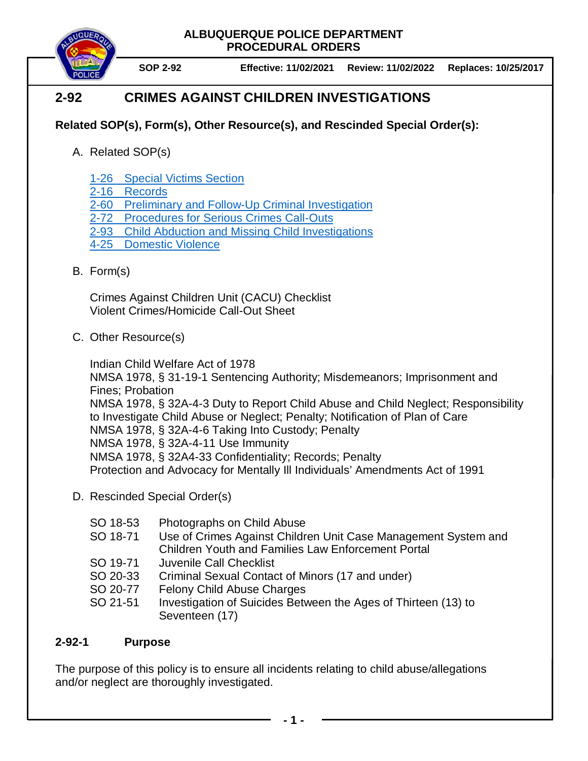**SOP 2-92 Effective: 11/02/2021 Review: 11/02/2022 Replaces: 10/25/2017**

# **2-92 CRIMES AGAINST CHILDREN INVESTIGATIONS**

# **Related SOP(s), Form(s), Other Resource(s), and Rescinded Special Order(s):**

- A. Related SOP(s)
	- 1-26 [Special Victims Section](https://powerdms.com/docs/311995)
	- 2-16 [Records](https://powerdms.com/docs/196)
	- 2-60 [Preliminary and Follow-Up Criminal Investigation](https://powerdms.com/docs/107)
	- 2-72 [Procedures for Serious Crimes Call-Outs](https://powerdms.com/docs/111)
	- 2-93 [Child Abduction and Missing Child Investigations](https://powerdms.com/docs/118)
	- 4-25 [Domestic Violence](https://powerdms.com/docs/533)
- B. Form(s)

Crimes Against Children Unit (CACU) Checklist Violent Crimes/Homicide Call-Out Sheet

C. Other Resource(s)

Indian Child Welfare Act of 1978 NMSA 1978, § 31-19-1 Sentencing Authority; Misdemeanors; Imprisonment and Fines; Probation NMSA 1978, § 32A-4-3 Duty to Report Child Abuse and Child Neglect; Responsibility to Investigate Child Abuse or Neglect; Penalty; Notification of Plan of Care NMSA 1978, § 32A-4-6 Taking Into Custody; Penalty NMSA 1978, § 32A-4-11 Use Immunity NMSA 1978, § 32A4-33 Confidentiality; Records; Penalty Protection and Advocacy for Mentally Ill Individuals' Amendments Act of 1991

- D. Rescinded Special Order(s)
	- SO 18-53 Photographs on Child Abuse
	- SO 18-71 Use of Crimes Against Children Unit Case Management System and Children Youth and Families Law Enforcement Portal
	- SO 19-71 Juvenile Call Checklist
	- SO 20-33 Criminal Sexual Contact of Minors (17 and under)
	- SO 20-77 Felony Child Abuse Charges
	- SO 21-51 Investigation of Suicides Between the Ages of Thirteen (13) to Seventeen (17)

# **2-92-1 Purpose**

The purpose of this policy is to ensure all incidents relating to child abuse/allegations and/or neglect are thoroughly investigated.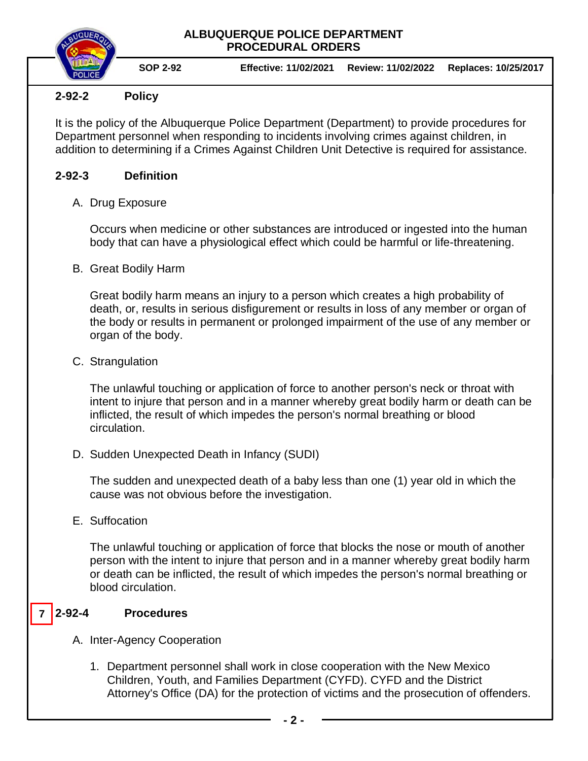**SOP 2-92 Effective: 11/02/2021 Review: 11/02/2022 Replaces: 10/25/2017**

# **2-92-2 Policy**

It is the policy of the Albuquerque Police Department (Department) to provide procedures for Department personnel when responding to incidents involving crimes against children, in addition to determining if a Crimes Against Children Unit Detective is required for assistance.

# **2-92-3 Definition**

A. Drug Exposure

Occurs when medicine or other substances are introduced or ingested into the human body that can have a physiological effect which could be harmful or life-threatening.

B. Great Bodily Harm

Great bodily harm means an injury to a person which creates a high probability of death, or, results in serious disfigurement or results in loss of any member or organ of the body or results in permanent or prolonged impairment of the use of any member or organ of the body.

C. Strangulation

The unlawful touching or application of force to another person's neck or throat with intent to injure that person and in a manner whereby great bodily harm or death can be inflicted, the result of which impedes the person's normal breathing or blood circulation.

D. Sudden Unexpected Death in Infancy (SUDI)

The sudden and unexpected death of a baby less than one (1) year old in which the cause was not obvious before the investigation.

E. Suffocation

The unlawful touching or application of force that blocks the nose or mouth of another person with the intent to injure that person and in a manner whereby great bodily harm or death can be inflicted, the result of which impedes the person's normal breathing or blood circulation.

#### **2-92-4 Procedures 7**

- A. Inter-Agency Cooperation
	- 1. Department personnel shall work in close cooperation with the New Mexico Children, Youth, and Families Department (CYFD). CYFD and the District Attorney's Office (DA) for the protection of victims and the prosecution of offenders.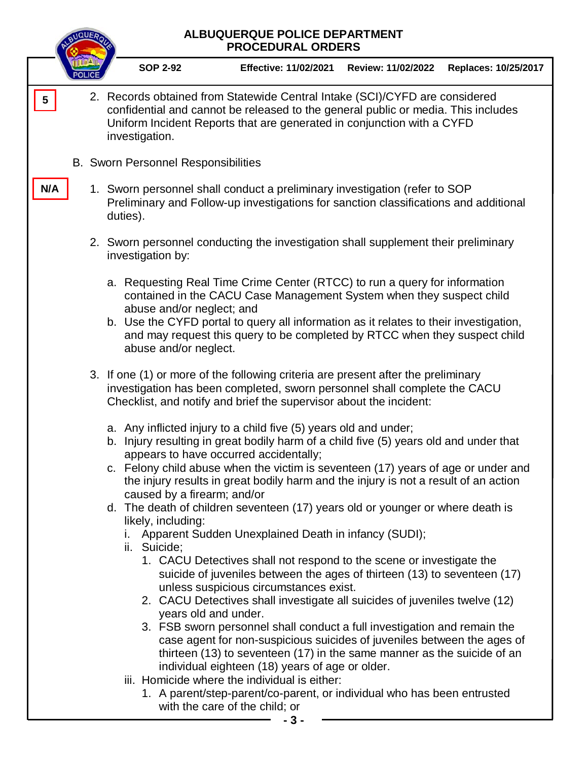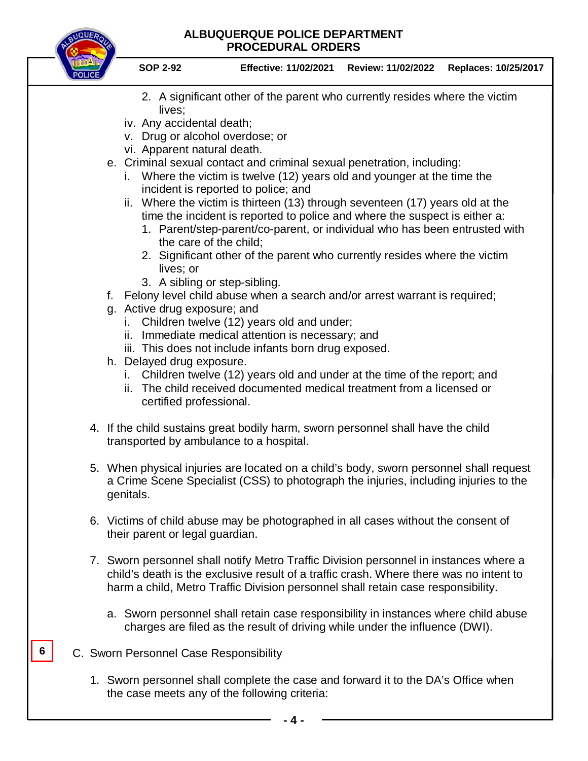

- 2. A significant other of the parent who currently resides where the victim lives;
- iv. Any accidental death;
- v. Drug or alcohol overdose; or
- vi. Apparent natural death.
- e. Criminal sexual contact and criminal sexual penetration, including:
	- i. Where the victim is twelve (12) years old and younger at the time the incident is reported to police; and
	- ii. Where the victim is thirteen (13) through seventeen (17) years old at the time the incident is reported to police and where the suspect is either a:
		- 1. Parent/step-parent/co-parent, or individual who has been entrusted with the care of the child;
		- 2. Significant other of the parent who currently resides where the victim lives; or
		- 3. A sibling or step-sibling.
- f. Felony level child abuse when a search and/or arrest warrant is required;
- g. Active drug exposure; and
	- i. Children twelve (12) years old and under;
	- ii. Immediate medical attention is necessary; and
	- iii. This does not include infants born drug exposed.
- h. Delayed drug exposure.
	- i. Children twelve (12) years old and under at the time of the report; and
	- ii. The child received documented medical treatment from a licensed or certified professional.
- 4. If the child sustains great bodily harm, sworn personnel shall have the child transported by ambulance to a hospital.
- 5. When physical injuries are located on a child's body, sworn personnel shall request a Crime Scene Specialist (CSS) to photograph the injuries, including injuries to the genitals.
- 6. Victims of child abuse may be photographed in all cases without the consent of their parent or legal guardian.
- 7. Sworn personnel shall notify Metro Traffic Division personnel in instances where a child's death is the exclusive result of a traffic crash. Where there was no intent to harm a child, Metro Traffic Division personnel shall retain case responsibility.
	- a. Sworn personnel shall retain case responsibility in instances where child abuse charges are filed as the result of driving while under the influence (DWI).
- C. Sworn Personnel Case Responsibility

**6**

1. Sworn personnel shall complete the case and forward it to the DA's Office when the case meets any of the following criteria: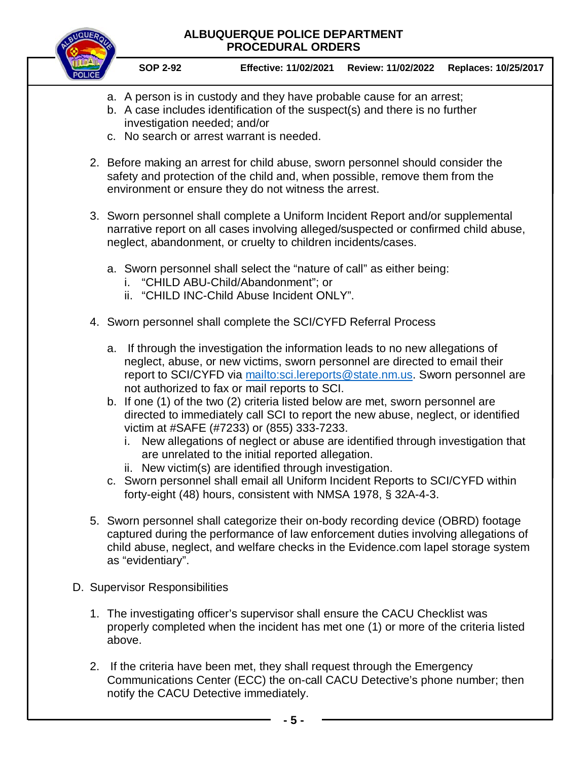

**SOP 2-92 Effective: 11/02/2021 Review: 11/02/2022 Replaces: 10/25/2017**

- a. A person is in custody and they have probable cause for an arrest;
- b. A case includes identification of the suspect(s) and there is no further investigation needed; and/or
- c. No search or arrest warrant is needed.
- 2. Before making an arrest for child abuse, sworn personnel should consider the safety and protection of the child and, when possible, remove them from the environment or ensure they do not witness the arrest.
- 3. Sworn personnel shall complete a Uniform Incident Report and/or supplemental narrative report on all cases involving alleged/suspected or confirmed child abuse, neglect, abandonment, or cruelty to children incidents/cases.
	- a. Sworn personnel shall select the "nature of call" as either being:
		- i. "CHILD ABU-Child/Abandonment"; or
		- ii. "CHILD INC-Child Abuse Incident ONLY".
- 4. Sworn personnel shall complete the SCI/CYFD Referral Process
	- a. If through the investigation the information leads to no new allegations of neglect, abuse, or new victims, sworn personnel are directed to email their report to SCI/CYFD via [mailto:sci.lereports@state.nm.us.](mailto:sci.lereports@state.nm.us) Sworn personnel are not authorized to fax or mail reports to SCI.
	- b. If one (1) of the two (2) criteria listed below are met, sworn personnel are directed to immediately call SCI to report the new abuse, neglect, or identified victim at #SAFE (#7233) or (855) 333-7233.
		- i. New allegations of neglect or abuse are identified through investigation that are unrelated to the initial reported allegation.
		- ii. New victim(s) are identified through investigation.
	- c. Sworn personnel shall email all Uniform Incident Reports to SCI/CYFD within forty-eight (48) hours, consistent with NMSA 1978, § 32A-4-3.
- 5. Sworn personnel shall categorize their on-body recording device (OBRD) footage captured during the performance of law enforcement duties involving allegations of child abuse, neglect, and welfare checks in the Evidence.com lapel storage system as "evidentiary".
- D. Supervisor Responsibilities
	- 1. The investigating officer's supervisor shall ensure the CACU Checklist was properly completed when the incident has met one (1) or more of the criteria listed above.
	- 2. If the criteria have been met, they shall request through the Emergency Communications Center (ECC) the on-call CACU Detective's phone number; then notify the CACU Detective immediately.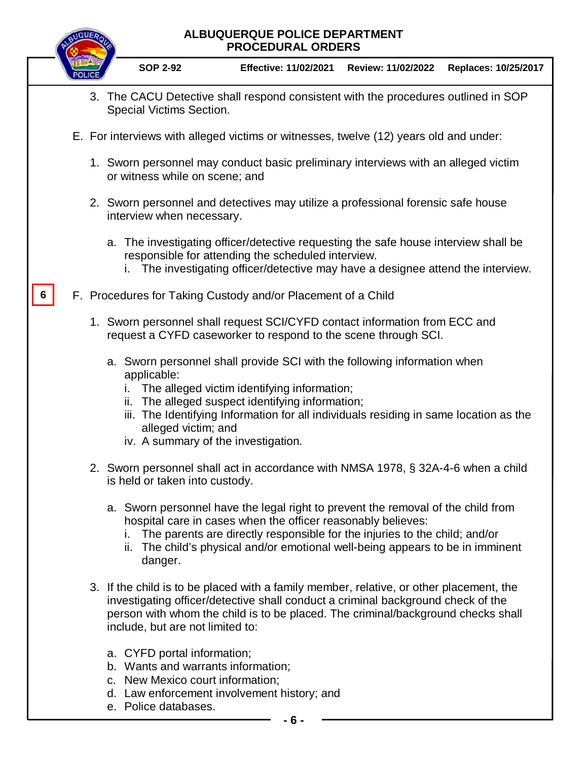|   | ALBUQUERQUE POLICE DEPARTMENT<br><b>PROCEDURAL ORDERS</b>                                                                                                                                                                                                                                                                                            |
|---|------------------------------------------------------------------------------------------------------------------------------------------------------------------------------------------------------------------------------------------------------------------------------------------------------------------------------------------------------|
|   | <b>SOP 2-92</b><br>Effective: 11/02/2021    Review: 11/02/2022<br>Replaces: 10/25/2017                                                                                                                                                                                                                                                               |
|   | 3. The CACU Detective shall respond consistent with the procedures outlined in SOP<br>Special Victims Section.                                                                                                                                                                                                                                       |
|   | E. For interviews with alleged victims or witnesses, twelve (12) years old and under:                                                                                                                                                                                                                                                                |
|   | 1. Sworn personnel may conduct basic preliminary interviews with an alleged victim<br>or witness while on scene; and                                                                                                                                                                                                                                 |
|   | 2. Sworn personnel and detectives may utilize a professional forensic safe house<br>interview when necessary.                                                                                                                                                                                                                                        |
|   | a. The investigating officer/detective requesting the safe house interview shall be<br>responsible for attending the scheduled interview.<br>The investigating officer/detective may have a designee attend the interview.                                                                                                                           |
| 6 | F. Procedures for Taking Custody and/or Placement of a Child                                                                                                                                                                                                                                                                                         |
|   | 1. Sworn personnel shall request SCI/CYFD contact information from ECC and<br>request a CYFD caseworker to respond to the scene through SCI.                                                                                                                                                                                                         |
|   | a. Sworn personnel shall provide SCI with the following information when<br>applicable:<br>The alleged victim identifying information;<br>The alleged suspect identifying information;<br>ii.<br>iii. The Identifying Information for all individuals residing in same location as the<br>alleged victim; and<br>iv. A summary of the investigation. |
|   | 2. Sworn personnel shall act in accordance with NMSA 1978, § 32A-4-6 when a child<br>is held or taken into custody.                                                                                                                                                                                                                                  |
|   | a. Sworn personnel have the legal right to prevent the removal of the child from<br>hospital care in cases when the officer reasonably believes:<br>The parents are directly responsible for the injuries to the child; and/or<br>ii. The child's physical and/or emotional well-being appears to be in imminent<br>danger.                          |
|   | 3. If the child is to be placed with a family member, relative, or other placement, the<br>investigating officer/detective shall conduct a criminal background check of the<br>person with whom the child is to be placed. The criminal/background checks shall<br>include, but are not limited to:                                                  |
|   | a. CYFD portal information;<br>b. Wants and warrants information;<br>c. New Mexico court information;                                                                                                                                                                                                                                                |

- d. Law enforcement involvement history; and
- e. Police databases.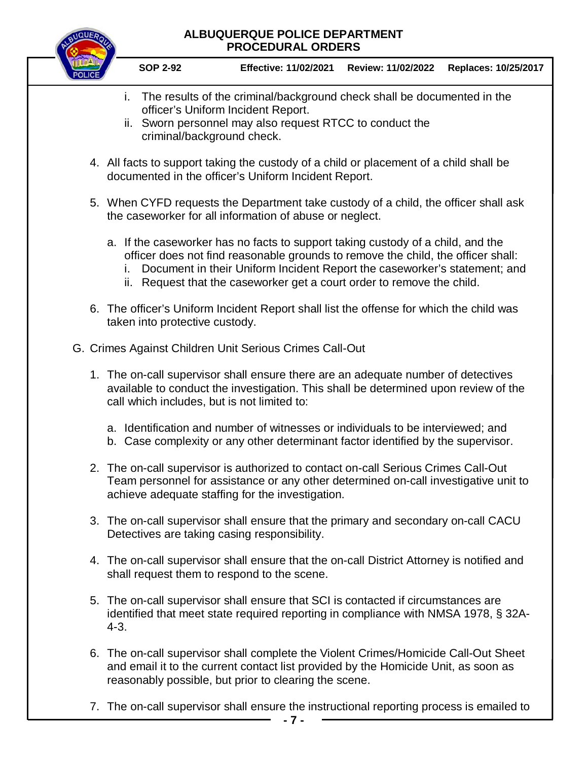

**SOP 2-92 Effective: 11/02/2021 Review: 11/02/2022 Replaces: 10/25/2017**

- i. The results of the criminal/background check shall be documented in the officer's Uniform Incident Report.
- ii. Sworn personnel may also request RTCC to conduct the criminal/background check.
- 4. All facts to support taking the custody of a child or placement of a child shall be documented in the officer's Uniform Incident Report.
- 5. When CYFD requests the Department take custody of a child, the officer shall ask the caseworker for all information of abuse or neglect.
	- a. If the caseworker has no facts to support taking custody of a child, and the officer does not find reasonable grounds to remove the child, the officer shall:
		- i. Document in their Uniform Incident Report the caseworker's statement; and
		- ii. Request that the caseworker get a court order to remove the child.
- 6. The officer's Uniform Incident Report shall list the offense for which the child was taken into protective custody.
- G. Crimes Against Children Unit Serious Crimes Call-Out
	- 1. The on-call supervisor shall ensure there are an adequate number of detectives available to conduct the investigation. This shall be determined upon review of the call which includes, but is not limited to:
		- a. Identification and number of witnesses or individuals to be interviewed; and
		- b. Case complexity or any other determinant factor identified by the supervisor.
	- 2. The on-call supervisor is authorized to contact on-call Serious Crimes Call-Out Team personnel for assistance or any other determined on-call investigative unit to achieve adequate staffing for the investigation.
	- 3. The on-call supervisor shall ensure that the primary and secondary on-call CACU Detectives are taking casing responsibility.
	- 4. The on-call supervisor shall ensure that the on-call District Attorney is notified and shall request them to respond to the scene.
	- 5. The on-call supervisor shall ensure that SCI is contacted if circumstances are identified that meet state required reporting in compliance with NMSA 1978, § 32A-4-3.
	- 6. The on-call supervisor shall complete the Violent Crimes/Homicide Call-Out Sheet and email it to the current contact list provided by the Homicide Unit, as soon as reasonably possible, but prior to clearing the scene.
	- 7. The on-call supervisor shall ensure the instructional reporting process is emailed to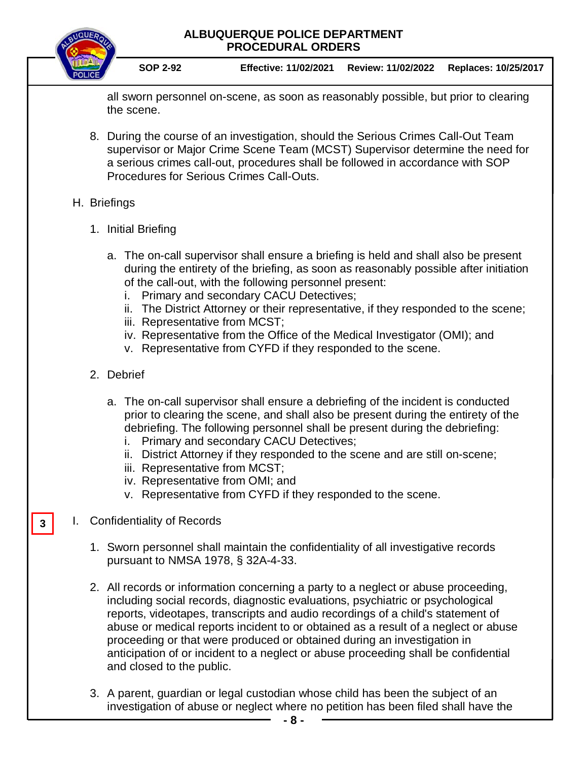

**3**